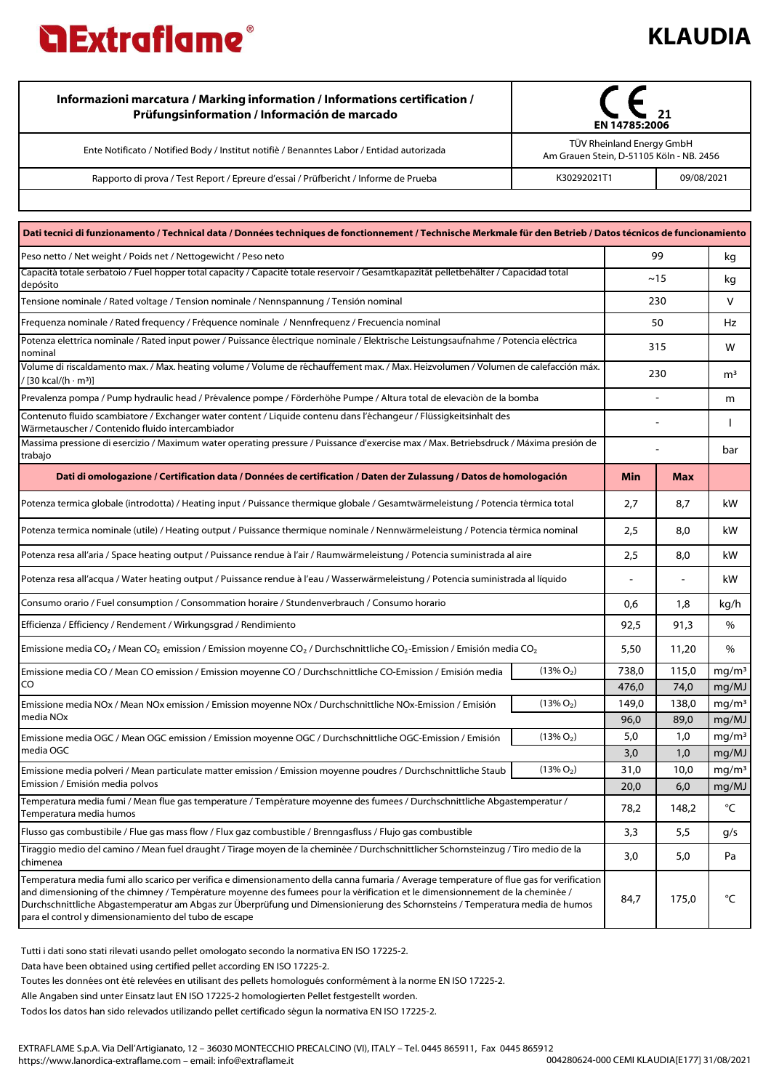## **KLAUDIA**

| Informazioni marcatura / Marking information / Informations certification /<br>Prüfungsinformation / Información de marcado | EN 14785:2006                                                         |            |  |
|-----------------------------------------------------------------------------------------------------------------------------|-----------------------------------------------------------------------|------------|--|
| Ente Notificato / Notified Body / Institut notifiè / Benanntes Labor / Entidad autorizada                                   | TÜV Rheinland Energy GmbH<br>Am Grauen Stein, D-51105 Köln - NB. 2456 |            |  |
| Rapporto di prova / Test Report / Epreure d'essai / Prüfbericht / Informe de Prueba                                         | K30292021T1                                                           | 09/08/2021 |  |
|                                                                                                                             |                                                                       |            |  |

| Dati tecnici di funzionamento / Technical data / Données techniques de fonctionnement / Technische Merkmale für den Betrieb / Datos técnicos de funcionamiento                                                                                                                                                                                                                                                                                                     |              |       |            |                   |
|--------------------------------------------------------------------------------------------------------------------------------------------------------------------------------------------------------------------------------------------------------------------------------------------------------------------------------------------------------------------------------------------------------------------------------------------------------------------|--------------|-------|------------|-------------------|
| Peso netto / Net weight / Poids net / Nettogewicht / Peso neto                                                                                                                                                                                                                                                                                                                                                                                                     |              |       | 99         | kg                |
| Capacità totale serbatoio / Fuel hopper total capacity / Capacité totale reservoir / Gesamtkapazität pelletbehälter / Capacidad total<br>depósito                                                                                                                                                                                                                                                                                                                  |              | ~15   |            | kg                |
| Tensione nominale / Rated voltage / Tension nominale / Nennspannung / Tensión nominal                                                                                                                                                                                                                                                                                                                                                                              |              |       | 230        | V                 |
| Frequenza nominale / Rated frequency / Fréquence nominale / Nennfrequenz / Frecuencia nominal                                                                                                                                                                                                                                                                                                                                                                      |              | 50    |            | Hz                |
| Potenza elettrica nominale / Rated input power / Puissance électrique nominale / Elektrische Leistungsaufnahme / Potencia eléctrica<br>nominal                                                                                                                                                                                                                                                                                                                     |              | 315   |            | W                 |
| Volume di riscaldamento max. / Max. heating volume / Volume de réchauffement max. / Max. Heizvolumen / Volumen de calefacción máx.<br>/ [30 kcal/(h · m3)]                                                                                                                                                                                                                                                                                                         |              | 230   |            | m <sup>3</sup>    |
| Prevalenza pompa / Pump hydraulic head / Prévalence pompe / Förderhöhe Pumpe / Altura total de elevaciòn de la bomba                                                                                                                                                                                                                                                                                                                                               |              |       |            | m                 |
| Contenuto fluido scambiatore / Exchanger water content / Liquide contenu dans l'échangeur / Flüssigkeitsinhalt des<br>Wärmetauscher / Contenido fluido intercambiador                                                                                                                                                                                                                                                                                              |              |       |            |                   |
| Massima pressione di esercizio / Maximum water operating pressure / Puissance d'exercise max / Max. Betriebsdruck / Máxima presión de<br>trabajo                                                                                                                                                                                                                                                                                                                   |              |       |            | bar               |
| Dati di omologazione / Certification data / Données de certification / Daten der Zulassung / Datos de homologación                                                                                                                                                                                                                                                                                                                                                 |              | Min   | <b>Max</b> |                   |
| Potenza termica globale (introdotta) / Heating input / Puissance thermique globale / Gesamtwärmeleistung / Potencia térmica total                                                                                                                                                                                                                                                                                                                                  |              |       | 8,7        | kW                |
| Potenza termica nominale (utile) / Heating output / Puissance thermique nominale / Nennwärmeleistung / Potencia térmica nominal                                                                                                                                                                                                                                                                                                                                    |              |       | 8,0        | kW.               |
| Potenza resa all'aria / Space heating output / Puissance rendue à l'air / Raumwärmeleistung / Potencia suministrada al aire                                                                                                                                                                                                                                                                                                                                        |              | 2,5   | 8,0        | kW                |
| Potenza resa all'acqua / Water heating output / Puissance rendue à l'eau / Wasserwärmeleistung / Potencia suministrada al líquido                                                                                                                                                                                                                                                                                                                                  |              |       |            | kW                |
| Consumo orario / Fuel consumption / Consommation horaire / Stundenverbrauch / Consumo horario                                                                                                                                                                                                                                                                                                                                                                      |              | 0,6   | 1,8        | kg/h              |
| Efficienza / Efficiency / Rendement / Wirkungsgrad / Rendimiento                                                                                                                                                                                                                                                                                                                                                                                                   |              | 92,5  | 91,3       | %                 |
| Emissione media CO <sub>2</sub> / Mean CO <sub>2</sub> emission / Emission moyenne CO <sub>2</sub> / Durchschnittliche CO <sub>2</sub> -Emission / Emisión media CO <sub>2</sub>                                                                                                                                                                                                                                                                                   |              | 5,50  | 11,20      | %                 |
| Emissione media CO / Mean CO emission / Emission moyenne CO / Durchschnittliche CO-Emission / Emisión media                                                                                                                                                                                                                                                                                                                                                        | $(13\% O_2)$ | 738,0 | 115,0      | mg/m <sup>3</sup> |
| CO                                                                                                                                                                                                                                                                                                                                                                                                                                                                 |              | 476,0 | 74,0       | mg/MJ             |
| Emissione media NOx / Mean NOx emission / Emission moyenne NOx / Durchschnittliche NOx-Emission / Emisión                                                                                                                                                                                                                                                                                                                                                          | $(13\% O_2)$ | 149,0 | 138,0      | mg/m <sup>3</sup> |
| media NOx                                                                                                                                                                                                                                                                                                                                                                                                                                                          |              | 96,0  | 89,0       | mg/MJ             |
| Emissione media OGC / Mean OGC emission / Emission moyenne OGC / Durchschnittliche OGC-Emission / Emisión                                                                                                                                                                                                                                                                                                                                                          | $(13\% O_2)$ | 5,0   | 1,0        | mg/m <sup>3</sup> |
| media OGC                                                                                                                                                                                                                                                                                                                                                                                                                                                          |              | 3,0   | 1,0        | mg/MJ             |
| Emissione media polveri / Mean particulate matter emission / Emission moyenne poudres / Durchschnittliche Staub                                                                                                                                                                                                                                                                                                                                                    | $(13\% O_2)$ | 31,0  | 10,0       | mq/m <sup>3</sup> |
| Emission / Emisión media polvos                                                                                                                                                                                                                                                                                                                                                                                                                                    |              | 20,0  | 6,0        | mg/MJ             |
| Temperatura media fumi / Mean flue gas temperature / Température moyenne des fumees / Durchschnittliche Abgastemperatur /<br>Temperatura media humos                                                                                                                                                                                                                                                                                                               |              | 78,2  | 148,2      | °C                |
| Flusso gas combustibile / Flue gas mass flow / Flux gaz combustible / Brenngasfluss / Flujo gas combustible                                                                                                                                                                                                                                                                                                                                                        |              | 3,3   | 5,5        | g/s               |
| Tiraggio medio del camino / Mean fuel draught / Tirage moyen de la cheminée / Durchschnittlicher Schornsteinzug / Tiro medio de la<br>chimenea                                                                                                                                                                                                                                                                                                                     |              | 3,0   | 5,0        | Pa                |
| Temperatura media fumi allo scarico per verifica e dimensionamento della canna fumaria / Average temperature of flue gas for verification<br>and dimensioning of the chimney / Température moyenne des fumees pour la vérification et le dimensionnement de la cheminée /<br>Durchschnittliche Abgastemperatur am Abgas zur Überprüfung und Dimensionierung des Schornsteins / Temperatura media de humos<br>para el control y dimensionamiento del tubo de escape |              | 84,7  | 175,0      | °C                |

Tutti i dati sono stati rilevati usando pellet omologato secondo la normativa EN ISO 17225-2.

Data have been obtained using certified pellet according EN ISO 17225-2.

Toutes les données ont été relevées en utilisant des pellets homologués conformément à la norme EN ISO 17225-2.

Alle Angaben sind unter Einsatz laut EN ISO 17225-2 homologierten Pellet festgestellt worden.

Todos los datos han sido relevados utilizando pellet certificado ségun la normativa EN ISO 17225-2.